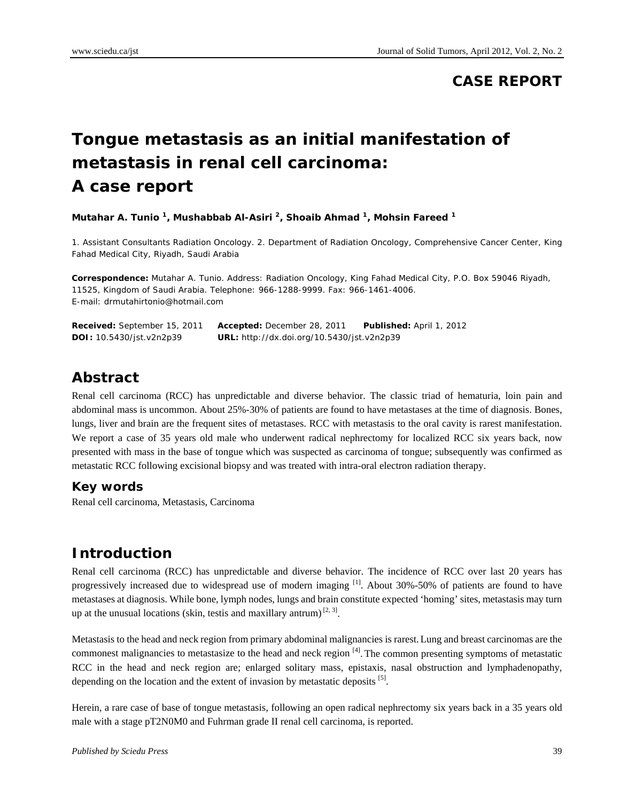#### **CASE REPORT**

# **Tongue metastasis as an initial manifestation of metastasis in renal cell carcinoma: A case report**

**Mutahar A. Tunio 1, Mushabbab Al-Asiri 2, Shoaib Ahmad 1, Mohsin Fareed 1**

1. Assistant Consultants Radiation Oncology. 2. Department of Radiation Oncology, Comprehensive Cancer Center, King Fahad Medical City, Riyadh, Saudi Arabia

**Correspondence:** Mutahar A. Tunio. Address: Radiation Oncology, King Fahad Medical City, P.O. Box 59046 Riyadh, 11525, Kingdom of Saudi Arabia. Telephone: 966-1288-9999. Fax: 966-1461-4006. E-mail: drmutahirtonio@hotmail.com

**Received:** September 15, 2011 **Accepted:** December 28, 2011 **Published:** April 1, 2012 **DOI:** 10.5430/jst.v2n2p39 **URL:** http://dx.doi.org/10.5430/jst.v2n2p39

#### **Abstract**

Renal cell carcinoma (RCC) has unpredictable and diverse behavior. The classic triad of hematuria, loin pain and abdominal mass is uncommon. About 25%-30% of patients are found to have metastases at the time of diagnosis. Bones, lungs, liver and brain are the frequent sites of metastases. RCC with metastasis to the oral cavity is rarest manifestation. We report a case of 35 years old male who underwent radical nephrectomy for localized RCC six years back, now presented with mass in the base of tongue which was suspected as carcinoma of tongue; subsequently was confirmed as metastatic RCC following excisional biopsy and was treated with intra-oral electron radiation therapy.

#### **Key words**

Renal cell carcinoma, Metastasis, Carcinoma

## **Introduction**

Renal cell carcinoma (RCC) has unpredictable and diverse behavior. The incidence of RCC over last 20 years has progressively increased due to widespread use of modern imaging [1]. About 30%-50% of patients are found to have metastases at diagnosis. While bone, lymph nodes, lungs and brain constitute expected 'homing' sites, metastasis may turn up at the unusual locations (skin, testis and maxillary antrum)  $[2, 3]$ .

Metastasis to the head and neck region from primary abdominal malignancies is rarest.Lung and breast carcinomas are the commonest malignancies to metastasize to the head and neck region  $\left[4\right]$ . The common presenting symptoms of metastatic RCC in the head and neck region are; enlarged solitary mass, epistaxis, nasal obstruction and lymphadenopathy, depending on the location and the extent of invasion by metastatic deposits  $[5]$ .

Herein, a rare case of base of tongue metastasis, following an open radical nephrectomy six years back in a 35 years old male with a stage pT2N0M0 and Fuhrman grade II renal cell carcinoma, is reported.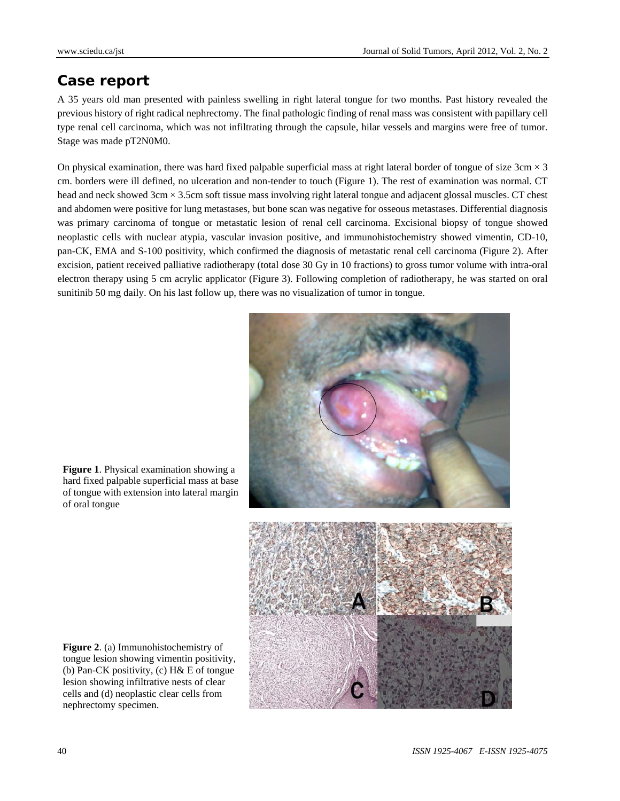#### **Case report**

A 35 years old man presented with painless swelling in right lateral tongue for two months. Past history revealed the previous history of right radical nephrectomy. The final pathologic finding of renal mass was consistent with papillary cell type renal cell carcinoma, which was not infiltrating through the capsule, hilar vessels and margins were free of tumor. Stage was made pT2N0M0.

On physical examination, there was hard fixed palpable superficial mass at right lateral border of tongue of size  $3 \text{cm} \times 3$ cm. borders were ill defined, no ulceration and non-tender to touch (Figure 1). The rest of examination was normal. CT head and neck showed 3cm × 3.5cm soft tissue mass involving right lateral tongue and adjacent glossal muscles. CT chest and abdomen were positive for lung metastases, but bone scan was negative for osseous metastases. Differential diagnosis was primary carcinoma of tongue or metastatic lesion of renal cell carcinoma. Excisional biopsy of tongue showed neoplastic cells with nuclear atypia, vascular invasion positive, and immunohistochemistry showed vimentin, CD-10, pan-CK, EMA and S-100 positivity, which confirmed the diagnosis of metastatic renal cell carcinoma (Figure 2). After excision, patient received palliative radiotherapy (total dose 30 Gy in 10 fractions) to gross tumor volume with intra-oral electron therapy using 5 cm acrylic applicator (Figure 3). Following completion of radiotherapy, he was started on oral sunitinib 50 mg daily. On his last follow up, there was no visualization of tumor in tongue.



**Figure 1**. Physical examination showing a hard fixed palpable superficial mass at base of tongue with extension into lateral margin of oral tongue



**Figure 2**. (a) Immunohistochemistry of tongue lesion showing vimentin positivity, (b) Pan-CK positivity, (c) H& E of tongue lesion showing infiltrative nests of clear cells and (d) neoplastic clear cells from nephrectomy specimen.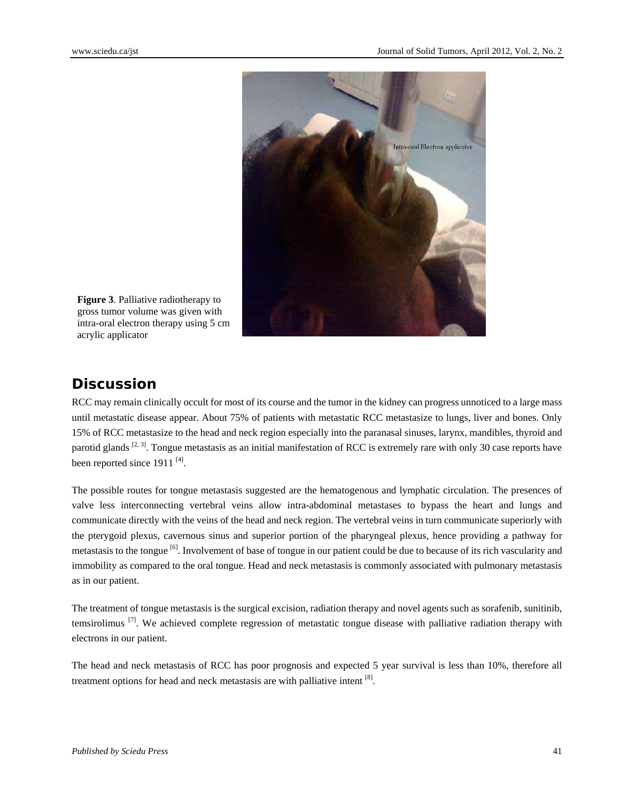

**Figure 3**. Palliative radiotherapy to gross tumor volume was given with intra-oral electron therapy using 5 cm acrylic applicator

# **Discussion**

RCC may remain clinically occult for most of its course and the tumor in the kidney can progress unnoticed to a large mass until metastatic disease appear. About 75% of patients with metastatic RCC metastasize to lungs, liver and bones. Only 15% of RCC metastasize to the head and neck region especially into the paranasal sinuses, larynx, mandibles, thyroid and parotid glands  $[2, 3]$ . Tongue metastasis as an initial manifestation of RCC is extremely rare with only 30 case reports have been reported since  $1911$ <sup>[4]</sup>.

The possible routes for tongue metastasis suggested are the hematogenous and lymphatic circulation. The presences of valve less interconnecting vertebral veins allow intra-abdominal metastases to bypass the heart and lungs and communicate directly with the veins of the head and neck region. The vertebral veins in turn communicate superiorly with the pterygoid plexus, cavernous sinus and superior portion of the pharyngeal plexus, hence providing a pathway for metastasis to the tongue <sup>[6]</sup>. Involvement of base of tongue in our patient could be due to because of its rich vascularity and immobility as compared to the oral tongue. Head and neck metastasis is commonly associated with pulmonary metastasis as in our patient.

The treatment of tongue metastasis is the surgical excision, radiation therapy and novel agents such as sorafenib, sunitinib, temsirolimus  $^{[7]}$ . We achieved complete regression of metastatic tongue disease with palliative radiation therapy with electrons in our patient.

The head and neck metastasis of RCC has poor prognosis and expected 5 year survival is less than 10%, therefore all treatment options for head and neck metastasis are with palliative intent [8].